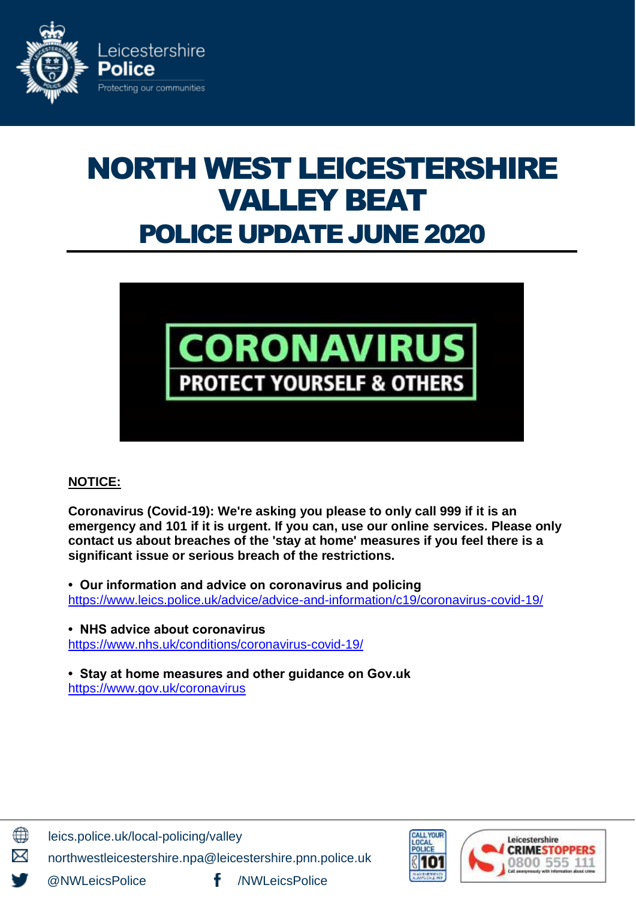

# NORTH WEST LEICESTERSHIRE VALLEY BEAT POLICE UPDATE JUNE 2020



# **NOTICE:**

**Coronavirus (Covid-19): We're asking you please to only call 999 if it is an emergency and 101 if it is urgent. If you can, use our online services. Please only contact us about breaches of the 'stay at home' measures if you feel there is a significant issue or serious breach of the restrictions.**

**• Our information and advice on coronavirus and policing**  <https://www.leics.police.uk/advice/advice-and-information/c19/coronavirus-covid-19/>

**• NHS advice about coronavirus** <https://www.nhs.uk/conditions/coronavirus-covid-19/>

**• Stay at home measures and other guidance on Gov.uk** <https://www.gov.uk/coronavirus>



leics.police.uk/local-policing/valley

northwestleicestershire.npa@leicestershire.pnn.police.uk

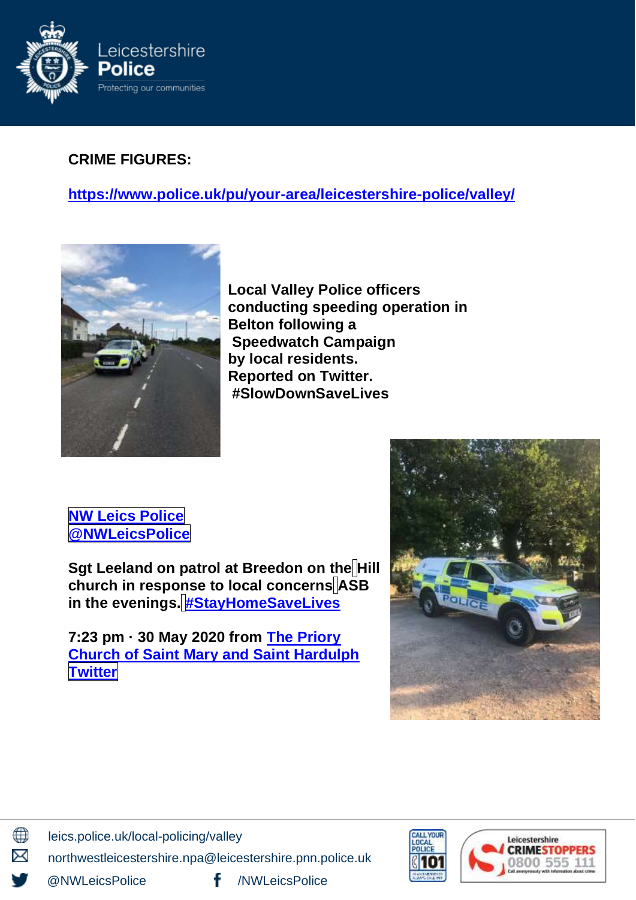

# **CRIME FIGURES:**

**https://www.police.uk/pu/your-area[/leicestershire-](https://www.police.uk/pu/your-area/leicestershire-police/valley/?tab=CrimeMap)police/valley/**



**Local Valley Police officers conducting speeding operation in Belton following a Speedwatch Campaign by local residents. Reported on Twitter. #SlowDownSaveLives**



**Sgt Leeland on patrol at Breedon on the Hill church in response to local concerns ASB in the evenings. [#StayHomeSaveLives](https://twitter.com/hashtag/StayHomeSaveLives?src=hashtag_click)**

**7:23 pm · 30 May 2020 from The Priory Church of Saint Mary and Saint Hardulph Twitter**





leics.police.uk/local-policing/valley

northwestleicestershire.npa@leicestershire.pnn.police.uk

∰

⊠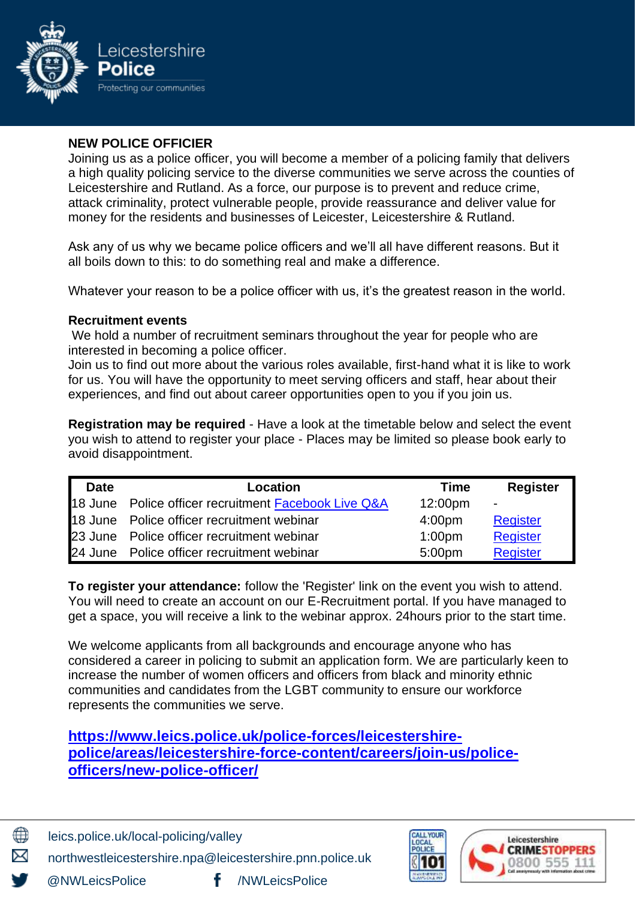

### **NEW POLICE OFFICIER**

Joining us as a police officer, you will become a member of a policing family that delivers a high quality policing service to the diverse communities we serve across the counties of Leicestershire and Rutland. As a force, our purpose is to prevent and reduce crime, attack criminality, protect vulnerable people, provide reassurance and deliver value for money for the residents and businesses of Leicester, Leicestershire & Rutland.

Ask any of us why we became police officers and we'll all have different reasons. But it all boils down to this: to do something real and make a difference.

Whatever your reason to be a police officer with us, it's the greatest reason in the world.

#### **Recruitment events**

We hold a number of recruitment seminars throughout the year for people who are interested in becoming a police officer.

Join us to find out more about the various roles available, first-hand what it is like to work for us. You will have the opportunity to meet serving officers and staff, hear about their experiences, and find out about career opportunities open to you if you join us.

**Registration may be required** - Have a look at the timetable below and select the event you wish to attend to register your place - Places may be limited so please book early to avoid disappointment.

| <b>Date</b> | <b>Location</b>                                                 | <b>Time</b>         | <b>Register</b>          |
|-------------|-----------------------------------------------------------------|---------------------|--------------------------|
|             | 18 June Police officer recruitment <b>Facebook Live Q&amp;A</b> | 12:00 <sub>pm</sub> | $\overline{\phantom{0}}$ |
|             | 18 June Police officer recruitment webinar                      | 4:00 <sub>pm</sub>  | Register                 |
|             | 23 June Police officer recruitment webinar                      | 1:00 <sub>pm</sub>  | Register                 |
|             | 24 June Police officer recruitment webinar                      | 5:00 <sub>pm</sub>  | <b>Register</b>          |

**To register your attendance:** follow the 'Register' link on the event you wish to attend. You will need to create an account on our E-Recruitment portal. If you have managed to get a space, you will receive a link to the webinar approx. 24hours prior to the start time.

We welcome applicants from all backgrounds and encourage anyone who has considered a career in policing to submit an application form. We are particularly keen to increase the number of women officers and officers from black and minority ethnic communities and candidates from the LGBT community to ensure our workforce represents the communities we serve.

# **[https://www.leics.police.uk/police-forces/leicestershire](https://www.leics.police.uk/police-forces/leicestershire-police/areas/leicestershire-force-content/careers/join-us/police-officers/new-police-officer/)[police/areas/leicestershire-force-content/careers/join-us/police](https://www.leics.police.uk/police-forces/leicestershire-police/areas/leicestershire-force-content/careers/join-us/police-officers/new-police-officer/)[officers/new-police-officer/](https://www.leics.police.uk/police-forces/leicestershire-police/areas/leicestershire-force-content/careers/join-us/police-officers/new-police-officer/)**



leics.police.uk/local-policing/valley northwestleicestershire.npa@leicestershire.pnn.police.uk

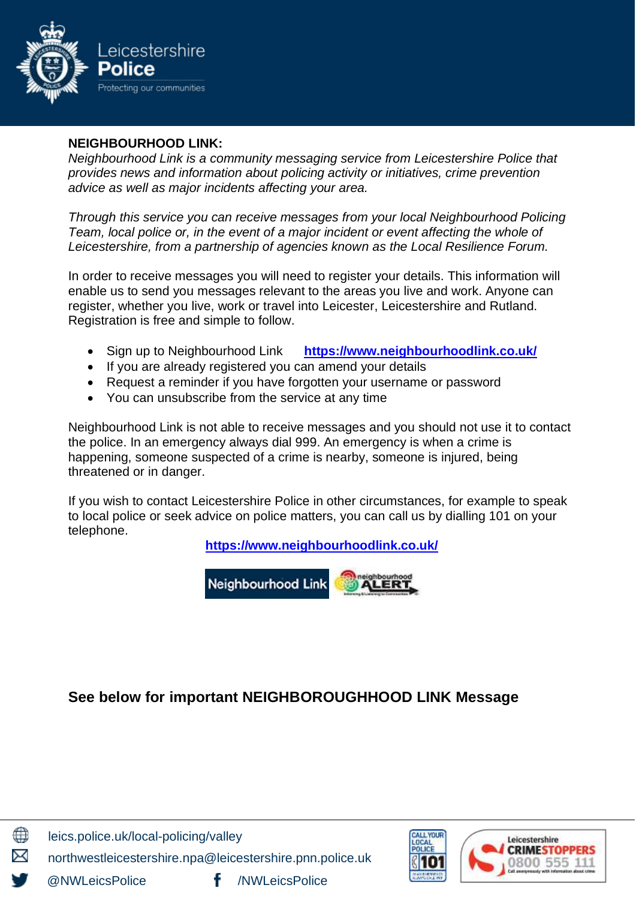

# **NEIGHBOURHOOD LINK:**

*Neighbourhood Link is a community messaging service from Leicestershire Police that provides news and information about policing activity or initiatives, crime prevention advice as well as major incidents affecting your area.*

*Through this service you can receive messages from your local Neighbourhood Policing Team, local police or, in the event of a major incident or event affecting the whole of Leicestershire, from a partnership of agencies known as the Local Resilience Forum.*

In order to receive messages you will need to register your details. This information will enable us to send you messages relevant to the areas you live and work. Anyone can register, whether you live, work or travel into Leicester, Leicestershire and Rutland. Registration is free and simple to follow.

- Sign up to Neighbourhood Link **<https://www.neighbourhoodlink.co.uk/>**
- If you are already registered you can amend your details
- Request a reminder if you have forgotten your username or password
- You can unsubscribe from the service at any time

Neighbourhood Link is not able to receive messages and you should not use it to contact the police. In an emergency always dial 999. An emergency is when a crime is happening, someone suspected of a crime is nearby, someone is injured, being threatened or in danger.

If you wish to contact Leicestershire Police in other circumstances, for example to speak to local police or seek advice on police matters, you can call us by dialling 101 on your telephone.

**<https://www.neighbourhoodlink.co.uk/>**



# **See below for important NEIGHBOROUGHHOOD LINK Message**



leics.police.uk/local-policing/valley

northwestleicestershire.npa@leicestershire.pnn.police.uk

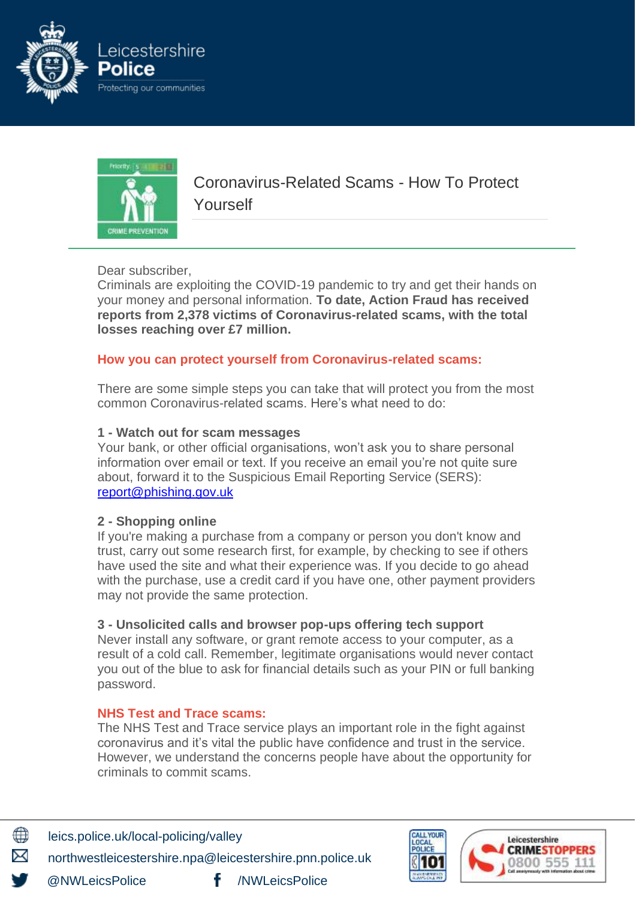



Coronavirus-Related Scams - How To Protect Yourself

Dear subscriber,

Criminals are exploiting the COVID-19 pandemic to try and get their hands on your money and personal information. **To date, Action Fraud has received reports from 2,378 victims of Coronavirus-related scams, with the total losses reaching over £7 million.**

#### **How you can protect yourself from Coronavirus-related scams:**

There are some simple steps you can take that will protect you from the most common Coronavirus-related scams. Here's what need to do:

#### **1 - Watch out for scam messages**

Your bank, or other official organisations, won't ask you to share personal information over email or text. If you receive an email you're not quite sure about, forward it to the Suspicious Email Reporting Service (SERS): [report@phishing.gov.uk](mailto:report@phishing.gov.uk)

#### **2 - Shopping online**

If you're making a purchase from a company or person you don't know and trust, carry out some research first, for example, by checking to see if others have used the site and what their experience was. If you decide to go ahead with the purchase, use a credit card if you have one, other payment providers may not provide the same protection.

#### **3 - Unsolicited calls and browser pop-ups offering tech support**

Never install any software, or grant remote access to your computer, as a result of a cold call. Remember, legitimate organisations would never contact you out of the blue to ask for financial details such as your PIN or full banking password.

#### **NHS Test and Trace scams:**

The NHS Test and Trace service plays an important role in the fight against coronavirus and it's vital the public have confidence and trust in the service. However, we understand the concerns people have about the opportunity for criminals to commit scams.



leics.police.uk/local-policing/valley northwestleicestershire.npa@leicestershire.pnn.police.uk